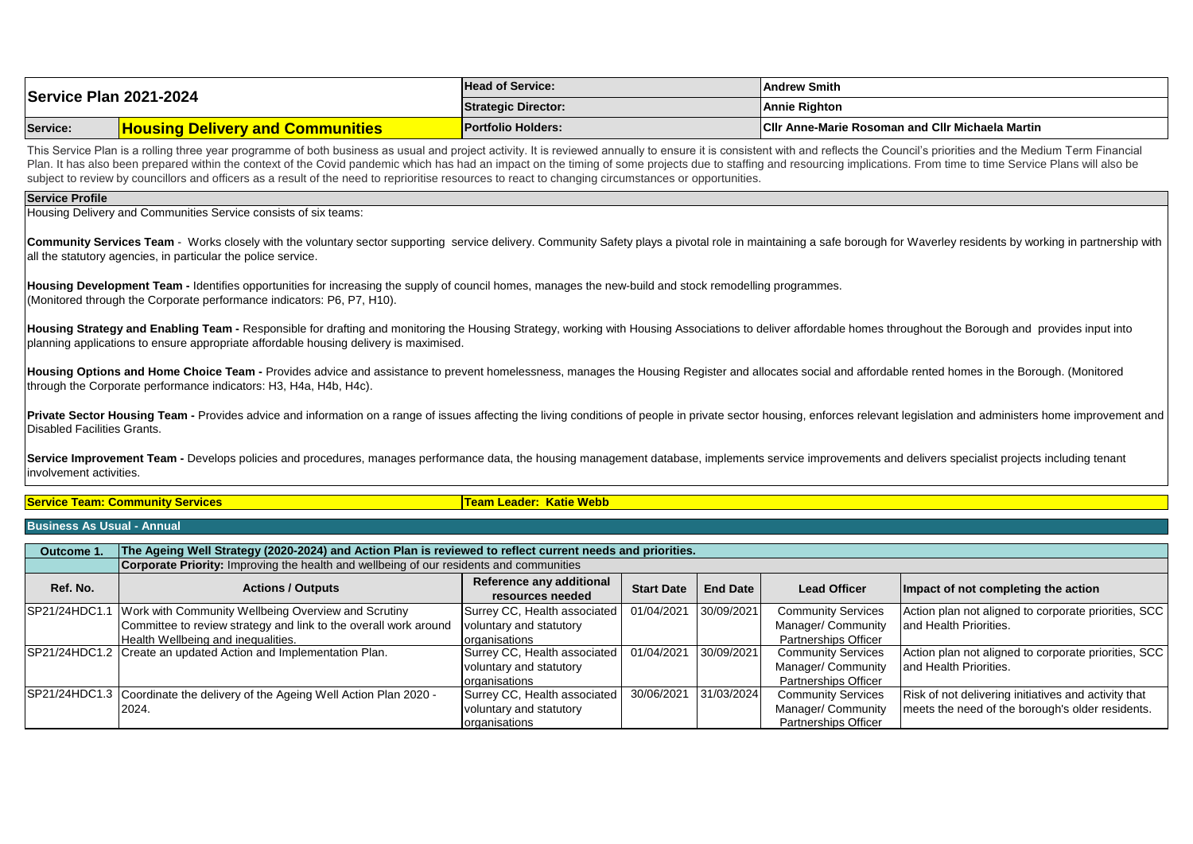| Service Plan 2021-2024 |                                         | <b>Head of Service:</b>    | lAndrew Smith                                           |  |
|------------------------|-----------------------------------------|----------------------------|---------------------------------------------------------|--|
|                        |                                         | <b>Strategic Director:</b> | <b>Annie Righton</b>                                    |  |
| Service:               | <b>Housing Delivery and Communities</b> | <b>Portfolio Holders:</b>  | <b>CIIr Anne-Marie Rosoman and CIIr Michaela Martin</b> |  |

This Service Plan is a rolling three year programme of both business as usual and project activity. It is reviewed annually to ensure it is consistent with and reflects the Council's priorities and the Medium Term Financia Plan. It has also been prepared within the context of the Covid pandemic which has had an impact on the timing of some projects due to staffing and resourcing implications. From time to time Service Plans will also be subject to review by councillors and officers as a result of the need to reprioritise resources to react to changing circumstances or opportunities.

## **Service Profile**

Housing Delivery and Communities Service consists of six teams:

Community Services Team - Works closely with the voluntary sector supporting service delivery. Community Safety plays a pivotal role in maintaining a safe borough for Waverley residents by working in partnership with all the statutory agencies, in particular the police service.

**Housing Development Team -** Identifies opportunities for increasing the supply of council homes, manages the new-build and stock remodelling programmes. (Monitored through the Corporate performance indicators: P6, P7, H10).

Housing Strategy and Enabling Team - Responsible for drafting and monitoring the Housing Strategy, working with Housing Associations to deliver affordable homes throughout the Borough and provides input into planning applications to ensure appropriate affordable housing delivery is maximised.

Housing Options and Home Choice Team - Provides advice and assistance to prevent homelessness, manages the Housing Register and allocates social and affordable rented homes in the Borough. (Monitored through the Corporate performance indicators: H3, H4a, H4b, H4c).

Private Sector Housing Team - Provides advice and information on a range of issues affecting the living conditions of people in private sector housing, enforces relevant legislation and administers home improvement and Disabled Facilities Grants.

Service Improvement Team - Develops policies and procedures, manages performance data, the housing management database, implements service improvements and delivers specialist projects including tenant involvement activities.

**Service Team: Community Services Team Leader: Katie Webb**

## **Business As Usual - Annual**

| Outcome 1.    | The Ageing Well Strategy (2020-2024) and Action Plan is reviewed to reflect current needs and priorities. |                              |                   |                 |                             |                                                      |  |  |  |  |
|---------------|-----------------------------------------------------------------------------------------------------------|------------------------------|-------------------|-----------------|-----------------------------|------------------------------------------------------|--|--|--|--|
|               | <b>Corporate Priority:</b> Improving the health and wellbeing of our residents and communities            |                              |                   |                 |                             |                                                      |  |  |  |  |
| Ref. No.      | <b>Actions / Outputs</b>                                                                                  | Reference any additional     | <b>Start Date</b> | <b>End Date</b> |                             |                                                      |  |  |  |  |
|               |                                                                                                           | resources needed             |                   |                 | <b>Lead Officer</b>         | Impact of not completing the action                  |  |  |  |  |
| SP21/24HDC1.1 | Work with Community Wellbeing Overview and Scrutiny                                                       | Surrey CC, Health associated | 01/04/2021        | 30/09/2021      | <b>Community Services</b>   | Action plan not aligned to corporate priorities, SCC |  |  |  |  |
|               | Committee to review strategy and link to the overall work around                                          | voluntary and statutory      |                   |                 | Manager/ Community          | and Health Priorities.                               |  |  |  |  |
|               | Health Wellbeing and inequalities.                                                                        | <b>lorganisations</b>        |                   |                 | Partnerships Officer        |                                                      |  |  |  |  |
|               | SP21/24HDC1.2 Create an updated Action and Implementation Plan.                                           | Surrey CC, Health associated | 01/04/2021        | 30/09/2021      | <b>Community Services</b>   | Action plan not aligned to corporate priorities, SCC |  |  |  |  |
|               |                                                                                                           | voluntary and statutory      |                   |                 | Manager/ Community          | land Health Priorities.                              |  |  |  |  |
|               |                                                                                                           | lorganisations               |                   |                 | <b>Partnerships Officer</b> |                                                      |  |  |  |  |
|               | SP21/24HDC1.3 Coordinate the delivery of the Ageing Well Action Plan 2020 -                               | Surrey CC, Health associated | 30/06/2021        | 31/03/2024      | <b>Community Services</b>   | Risk of not delivering initiatives and activity that |  |  |  |  |
|               | 2024.                                                                                                     | voluntary and statutory      |                   |                 | Manager/ Community          | meets the need of the borough's older residents.     |  |  |  |  |
|               |                                                                                                           | organisations                |                   |                 | <b>Partnerships Officer</b> |                                                      |  |  |  |  |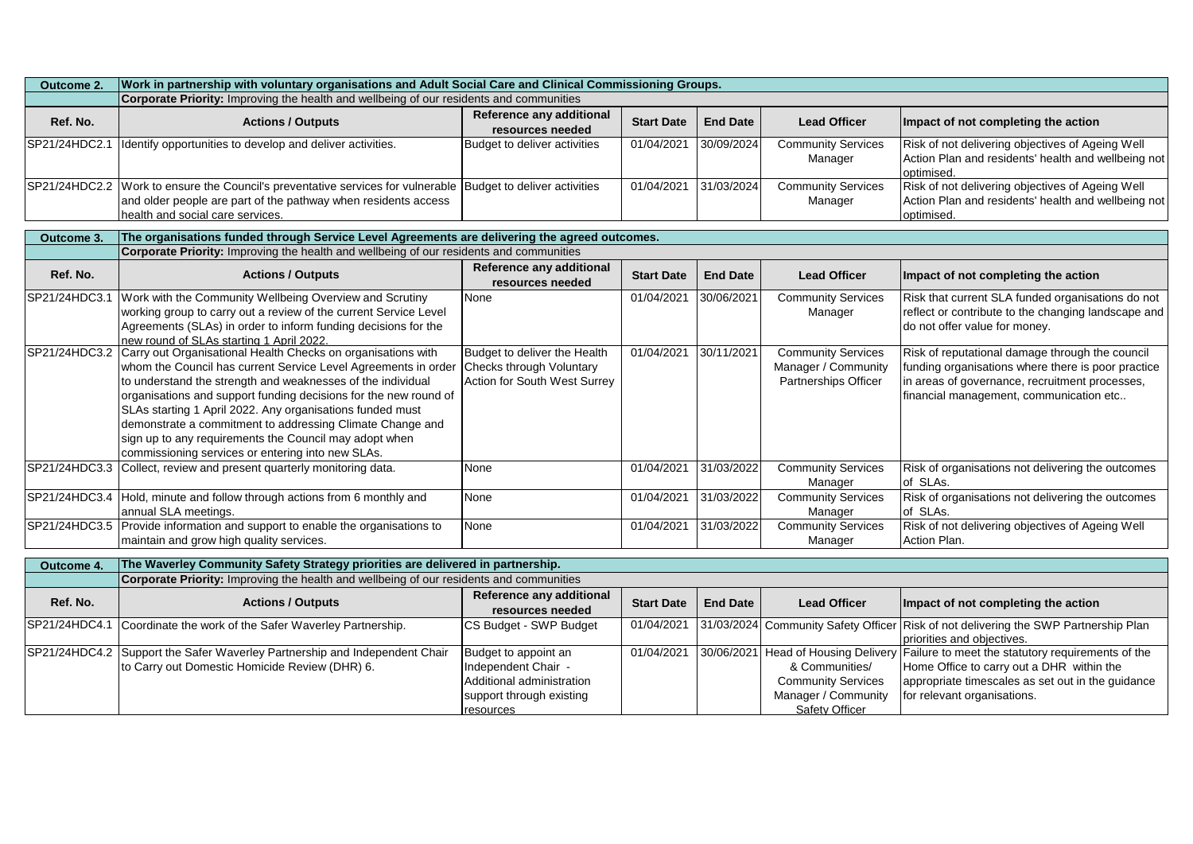| Outcome 2.    | Work in partnership with voluntary organisations and Adult Social Care and Clinical Commissioning Groups.                                                                                                                                                                                                                                                                                                                                                                                                  |                                                                                                                   |                   |                 |                                                                                      |                                                                                                                                                                                                                        |  |  |
|---------------|------------------------------------------------------------------------------------------------------------------------------------------------------------------------------------------------------------------------------------------------------------------------------------------------------------------------------------------------------------------------------------------------------------------------------------------------------------------------------------------------------------|-------------------------------------------------------------------------------------------------------------------|-------------------|-----------------|--------------------------------------------------------------------------------------|------------------------------------------------------------------------------------------------------------------------------------------------------------------------------------------------------------------------|--|--|
|               | Corporate Priority: Improving the health and wellbeing of our residents and communities                                                                                                                                                                                                                                                                                                                                                                                                                    |                                                                                                                   |                   |                 |                                                                                      |                                                                                                                                                                                                                        |  |  |
| Ref. No.      | <b>Actions / Outputs</b>                                                                                                                                                                                                                                                                                                                                                                                                                                                                                   | Reference any additional<br>resources needed                                                                      | <b>Start Date</b> | <b>End Date</b> | <b>Lead Officer</b>                                                                  | Impact of not completing the action                                                                                                                                                                                    |  |  |
| SP21/24HDC2.1 | Identify opportunities to develop and deliver activities.                                                                                                                                                                                                                                                                                                                                                                                                                                                  | Budget to deliver activities                                                                                      | 01/04/2021        | 30/09/2024      | <b>Community Services</b><br>Manager                                                 | Risk of not delivering objectives of Ageing Well<br>Action Plan and residents' health and wellbeing not<br>optimised.                                                                                                  |  |  |
|               | SP21/24HDC2.2 Work to ensure the Council's preventative services for vulnerable Budget to deliver activities<br>and older people are part of the pathway when residents access<br>health and social care services.                                                                                                                                                                                                                                                                                         |                                                                                                                   | 01/04/2021        | 31/03/2024      | <b>Community Services</b><br>Manager                                                 | Risk of not delivering objectives of Ageing Well<br>Action Plan and residents' health and wellbeing not<br>optimised.                                                                                                  |  |  |
| Outcome 3.    | The organisations funded through Service Level Agreements are delivering the agreed outcomes.                                                                                                                                                                                                                                                                                                                                                                                                              |                                                                                                                   |                   |                 |                                                                                      |                                                                                                                                                                                                                        |  |  |
|               | Corporate Priority: Improving the health and wellbeing of our residents and communities                                                                                                                                                                                                                                                                                                                                                                                                                    |                                                                                                                   |                   |                 |                                                                                      |                                                                                                                                                                                                                        |  |  |
| Ref. No.      | <b>Actions / Outputs</b>                                                                                                                                                                                                                                                                                                                                                                                                                                                                                   | Reference any additional<br>resources needed                                                                      | <b>Start Date</b> | <b>End Date</b> | <b>Lead Officer</b>                                                                  | Impact of not completing the action                                                                                                                                                                                    |  |  |
|               | SP21/24HDC3.1 Work with the Community Wellbeing Overview and Scrutiny<br>working group to carry out a review of the current Service Level<br>Agreements (SLAs) in order to inform funding decisions for the<br>new round of SLAs starting 1 April 2022.                                                                                                                                                                                                                                                    | None                                                                                                              | 01/04/2021        | 30/06/2021      | <b>Community Services</b><br>Manager                                                 | Risk that current SLA funded organisations do not<br>reflect or contribute to the changing landscape and<br>do not offer value for money.                                                                              |  |  |
| SP21/24HDC3.2 | Carry out Organisational Health Checks on organisations with<br>whom the Council has current Service Level Agreements in order<br>to understand the strength and weaknesses of the individual<br>organisations and support funding decisions for the new round of<br>SLAs starting 1 April 2022. Any organisations funded must<br>demonstrate a commitment to addressing Climate Change and<br>sign up to any requirements the Council may adopt when<br>commissioning services or entering into new SLAs. | Budget to deliver the Health<br>Checks through Voluntary<br>Action for South West Surrey                          | 01/04/2021        | 30/11/2021      | <b>Community Services</b><br>Manager / Community<br>Partnerships Officer             | Risk of reputational damage through the council<br>funding organisations where there is poor practice<br>in areas of governance, recruitment processes,<br>financial management, communication etc                     |  |  |
|               | SP21/24HDC3.3 Collect, review and present quarterly monitoring data.                                                                                                                                                                                                                                                                                                                                                                                                                                       | None                                                                                                              | 01/04/2021        | 31/03/2022      | <b>Community Services</b><br>Manager                                                 | Risk of organisations not delivering the outcomes<br>of SLAs.                                                                                                                                                          |  |  |
|               | SP21/24HDC3.4 Hold, minute and follow through actions from 6 monthly and<br>annual SLA meetings.                                                                                                                                                                                                                                                                                                                                                                                                           | None                                                                                                              | 01/04/2021        | 31/03/2022      | <b>Community Services</b><br>Manager                                                 | Risk of organisations not delivering the outcomes<br>of SLAs.                                                                                                                                                          |  |  |
|               | SP21/24HDC3.5 Provide information and support to enable the organisations to<br>maintain and grow high quality services.                                                                                                                                                                                                                                                                                                                                                                                   | None                                                                                                              | 01/04/2021        | 31/03/2022      | <b>Community Services</b><br>Manager                                                 | Risk of not delivering objectives of Ageing Well<br>Action Plan.                                                                                                                                                       |  |  |
| Outcome 4.    | The Waverley Community Safety Strategy priorities are delivered in partnership.                                                                                                                                                                                                                                                                                                                                                                                                                            |                                                                                                                   |                   |                 |                                                                                      |                                                                                                                                                                                                                        |  |  |
|               | Corporate Priority: Improving the health and wellbeing of our residents and communities                                                                                                                                                                                                                                                                                                                                                                                                                    |                                                                                                                   |                   |                 |                                                                                      |                                                                                                                                                                                                                        |  |  |
| Ref. No.      | <b>Actions / Outputs</b>                                                                                                                                                                                                                                                                                                                                                                                                                                                                                   | <b>Reference any additional</b><br>resources needed                                                               | <b>Start Date</b> | <b>End Date</b> | <b>Lead Officer</b>                                                                  | Impact of not completing the action                                                                                                                                                                                    |  |  |
| SP21/24HDC4.1 | Coordinate the work of the Safer Waverley Partnership.                                                                                                                                                                                                                                                                                                                                                                                                                                                     | CS Budget - SWP Budget                                                                                            | 01/04/2021        |                 |                                                                                      | 31/03/2024 Community Safety Officer Risk of not delivering the SWP Partnership Plan<br>priorities and objectives.                                                                                                      |  |  |
|               | SP21/24HDC4.2 Support the Safer Waverley Partnership and Independent Chair<br>to Carry out Domestic Homicide Review (DHR) 6.                                                                                                                                                                                                                                                                                                                                                                               | Budget to appoint an<br>Independent Chair -<br>Additional administration<br>support through existing<br>resources | 01/04/2021        |                 | & Communities/<br><b>Community Services</b><br>Manager / Community<br>Safety Officer | 30/06/2021 Head of Housing Delivery Failure to meet the statutory requirements of the<br>Home Office to carry out a DHR within the<br>appropriate timescales as set out in the guidance<br>for relevant organisations. |  |  |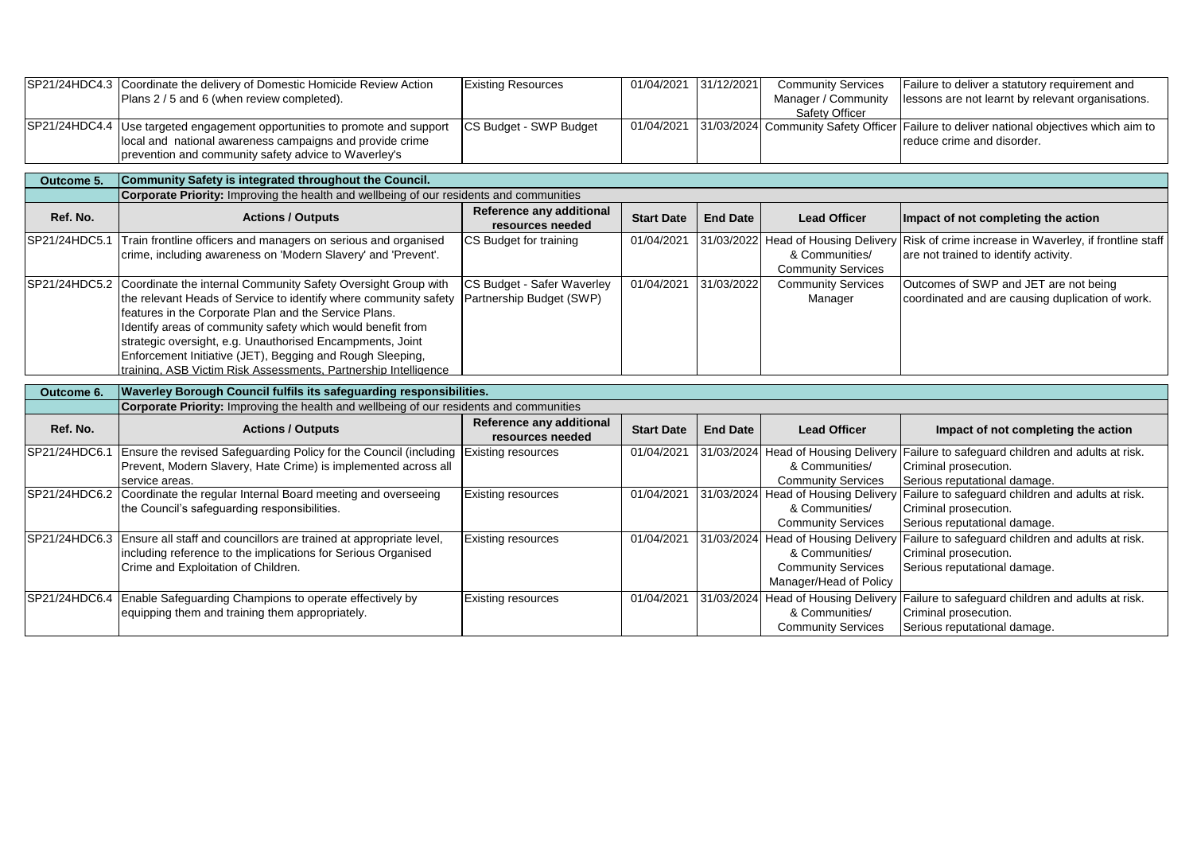|               | SP21/24HDC4.3 Coordinate the delivery of Domestic Homicide Review Action<br>Plans 2 / 5 and 6 (when review completed).                                                                                                                                                                                                                                                                                                                                               | <b>Existing Resources</b>                              | 01/04/2021 31/12/2021 |                 | <b>Community Services</b><br>Manager / Community<br>Safety Officer                                           | Failure to deliver a statutory requirement and<br>lessons are not learnt by relevant organisations.                                            |
|---------------|----------------------------------------------------------------------------------------------------------------------------------------------------------------------------------------------------------------------------------------------------------------------------------------------------------------------------------------------------------------------------------------------------------------------------------------------------------------------|--------------------------------------------------------|-----------------------|-----------------|--------------------------------------------------------------------------------------------------------------|------------------------------------------------------------------------------------------------------------------------------------------------|
| SP21/24HDC4.4 | Use targeted engagement opportunities to promote and support<br>local and national awareness campaigns and provide crime<br>prevention and community safety advice to Waverley's                                                                                                                                                                                                                                                                                     | CS Budget - SWP Budget                                 | 01/04/2021            |                 |                                                                                                              | 31/03/2024 Community Safety Officer Failure to deliver national objectives which aim to<br>reduce crime and disorder.                          |
| Outcome 5.    | Community Safety is integrated throughout the Council.                                                                                                                                                                                                                                                                                                                                                                                                               |                                                        |                       |                 |                                                                                                              |                                                                                                                                                |
|               | Corporate Priority: Improving the health and wellbeing of our residents and communities                                                                                                                                                                                                                                                                                                                                                                              |                                                        |                       |                 |                                                                                                              |                                                                                                                                                |
| Ref. No.      | <b>Actions / Outputs</b>                                                                                                                                                                                                                                                                                                                                                                                                                                             | Reference any additional<br>resources needed           | <b>Start Date</b>     | <b>End Date</b> | <b>Lead Officer</b>                                                                                          | Impact of not completing the action                                                                                                            |
| SP21/24HDC5.1 | Train frontline officers and managers on serious and organised<br>crime, including awareness on 'Modern Slavery' and 'Prevent'.                                                                                                                                                                                                                                                                                                                                      | CS Budget for training                                 | 01/04/2021            |                 | 31/03/2022 Head of Housing Delivery<br>& Communities/<br><b>Community Services</b>                           | Risk of crime increase in Waverley, if frontline staff<br>are not trained to identify activity.                                                |
|               | SP21/24HDC5.2 Coordinate the internal Community Safety Oversight Group with<br>the relevant Heads of Service to identify where community safety<br>features in the Corporate Plan and the Service Plans.<br>Identify areas of community safety which would benefit from<br>strategic oversight, e.g. Unauthorised Encampments, Joint<br>Enforcement Initiative (JET), Begging and Rough Sleeping,<br>training, ASB Victim Risk Assessments, Partnership Intelligence | CS Budget - Safer Waverley<br>Partnership Budget (SWP) | 01/04/2021            | 31/03/2022      | <b>Community Services</b><br>Manager                                                                         | Outcomes of SWP and JET are not being<br>coordinated and are causing duplication of work.                                                      |
| Outcome 6.    | Waverley Borough Council fulfils its safeguarding responsibilities.                                                                                                                                                                                                                                                                                                                                                                                                  |                                                        |                       |                 |                                                                                                              |                                                                                                                                                |
|               | Corporate Priority: Improving the health and wellbeing of our residents and communities                                                                                                                                                                                                                                                                                                                                                                              |                                                        |                       |                 |                                                                                                              |                                                                                                                                                |
| Ref. No.      | <b>Actions / Outputs</b>                                                                                                                                                                                                                                                                                                                                                                                                                                             | Reference any additional<br>resources needed           | <b>Start Date</b>     | <b>End Date</b> | <b>Lead Officer</b>                                                                                          | Impact of not completing the action                                                                                                            |
| SP21/24HDC6.1 | Ensure the revised Safeguarding Policy for the Council (including<br>Prevent, Modern Slavery, Hate Crime) is implemented across all<br>service areas.                                                                                                                                                                                                                                                                                                                | Existing resources                                     | 01/04/2021            | 31/03/2024      | <b>Head of Housing Delivery</b><br>& Communities/<br><b>Community Services</b>                               | Failure to safeguard children and adults at risk.<br>Criminal prosecution.<br>Serious reputational damage.                                     |
|               | SP21/24HDC6.2 Coordinate the regular Internal Board meeting and overseeing<br>the Council's safeguarding responsibilities.                                                                                                                                                                                                                                                                                                                                           | Existing resources                                     | 01/04/2021            |                 | & Communities/<br><b>Community Services</b>                                                                  | 31/03/2024 Head of Housing Delivery Failure to safeguard children and adults at risk.<br>Criminal prosecution.<br>Serious reputational damage. |
|               | SP21/24HDC6.3 Ensure all staff and councillors are trained at appropriate level,<br>including reference to the implications for Serious Organised<br>Crime and Exploitation of Children.                                                                                                                                                                                                                                                                             | Existing resources                                     | 01/04/2021            |                 | 31/03/2024 Head of Housing Delivery<br>& Communities/<br><b>Community Services</b><br>Manager/Head of Policy | Failure to safeguard children and adults at risk.<br>Criminal prosecution.<br>Serious reputational damage.                                     |
|               | SP21/24HDC6.4 Enable Safeguarding Champions to operate effectively by<br>equipping them and training them appropriately.                                                                                                                                                                                                                                                                                                                                             | Existing resources                                     | 01/04/2021            |                 | 31/03/2024 Head of Housing Delivery<br>& Communities/<br><b>Community Services</b>                           | Failure to safeguard children and adults at risk.<br>Criminal prosecution.<br>Serious reputational damage.                                     |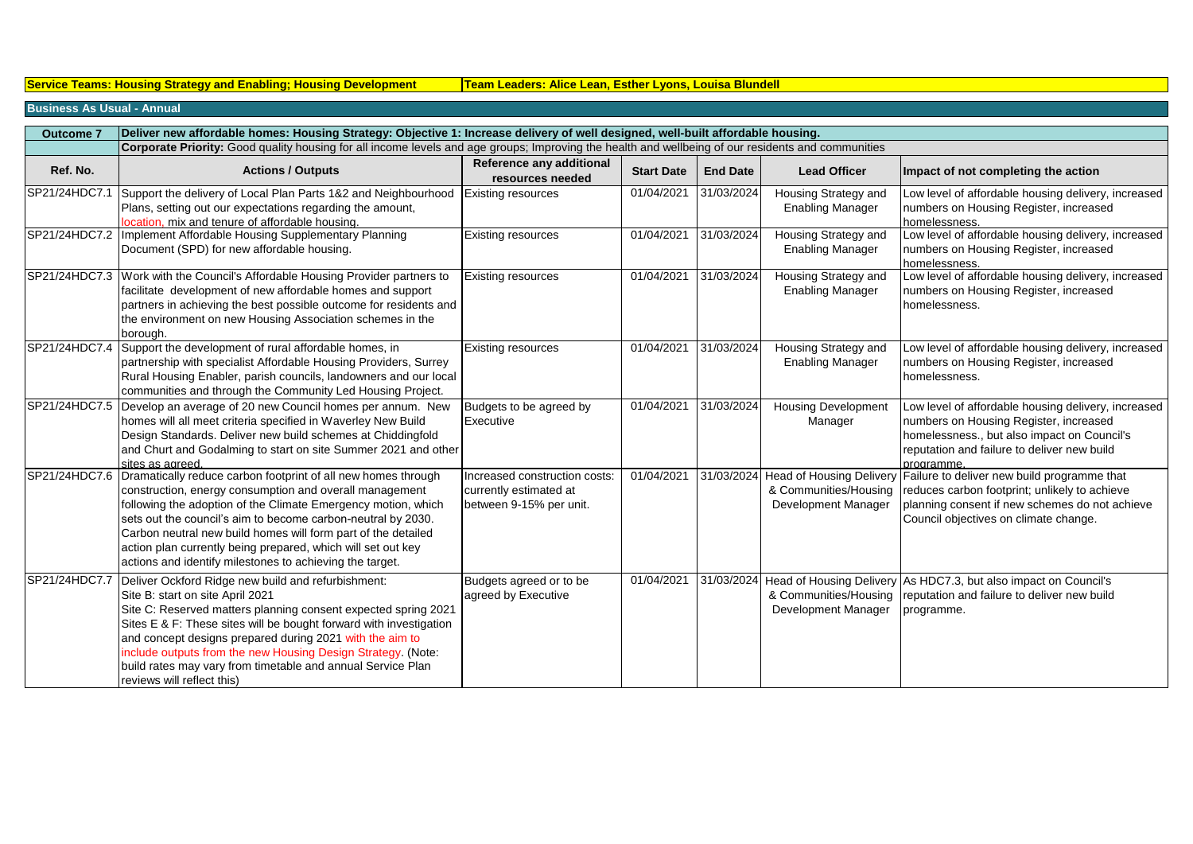**Service Teams: Housing Strategy and Enabling; Housing Development | Team Leaders: Alice Lean, Esther Lyons, Louisa Blundell** 

## **Business As Usual - Annual**

| <b>Outcome 7</b> | Deliver new affordable homes: Housing Strategy: Objective 1: Increase delivery of well designed, well-built affordable housing.                                                                                                                                                                                                                                                                                                                         |                                                                                    |                   |                 |                                                 |                                                                                                                                                                                                                  |  |  |  |
|------------------|---------------------------------------------------------------------------------------------------------------------------------------------------------------------------------------------------------------------------------------------------------------------------------------------------------------------------------------------------------------------------------------------------------------------------------------------------------|------------------------------------------------------------------------------------|-------------------|-----------------|-------------------------------------------------|------------------------------------------------------------------------------------------------------------------------------------------------------------------------------------------------------------------|--|--|--|
|                  | Corporate Priority: Good quality housing for all income levels and age groups; Improving the health and wellbeing of our residents and communities                                                                                                                                                                                                                                                                                                      |                                                                                    |                   |                 |                                                 |                                                                                                                                                                                                                  |  |  |  |
| Ref. No.         | <b>Actions / Outputs</b>                                                                                                                                                                                                                                                                                                                                                                                                                                | Reference any additional<br>resources needed                                       | <b>Start Date</b> | <b>End Date</b> | <b>Lead Officer</b>                             | Impact of not completing the action                                                                                                                                                                              |  |  |  |
| SP21/24HDC7.1    | Support the delivery of Local Plan Parts 1&2 and Neighbourhood<br>Plans, setting out our expectations regarding the amount,<br>location, mix and tenure of affordable housing.                                                                                                                                                                                                                                                                          | Existing resources                                                                 | 01/04/2021        | 31/03/2024      | Housing Strategy and<br><b>Enabling Manager</b> | Low level of affordable housing delivery, increased<br>numbers on Housing Register, increased<br>homelessness.                                                                                                   |  |  |  |
|                  | SP21/24HDC7.2   Implement Affordable Housing Supplementary Planning<br>Document (SPD) for new affordable housing.                                                                                                                                                                                                                                                                                                                                       | <b>Existing resources</b>                                                          | 01/04/2021        | 31/03/2024      | Housing Strategy and<br><b>Enabling Manager</b> | Low level of affordable housing delivery, increased<br>numbers on Housing Register, increased<br>homelessness.                                                                                                   |  |  |  |
|                  | SP21/24HDC7.3 Work with the Council's Affordable Housing Provider partners to<br>facilitate development of new affordable homes and support<br>partners in achieving the best possible outcome for residents and<br>the environment on new Housing Association schemes in the<br>borough.                                                                                                                                                               | <b>Existing resources</b>                                                          | 01/04/2021        | 31/03/2024      | Housing Strategy and<br><b>Enabling Manager</b> | Low level of affordable housing delivery, increased<br>numbers on Housing Register, increased<br>homelessness.                                                                                                   |  |  |  |
| SP21/24HDC7.4    | Support the development of rural affordable homes, in<br>partnership with specialist Affordable Housing Providers, Surrey<br>Rural Housing Enabler, parish councils, landowners and our local<br>communities and through the Community Led Housing Project.                                                                                                                                                                                             | <b>Existing resources</b>                                                          | 01/04/2021        | 31/03/2024      | Housing Strategy and<br><b>Enabling Manager</b> | Low level of affordable housing delivery, increased<br>numbers on Housing Register, increased<br>homelessness.                                                                                                   |  |  |  |
| SP21/24HDC7.5    | Develop an average of 20 new Council homes per annum. New<br>homes will all meet criteria specified in Waverley New Build<br>Design Standards. Deliver new build schemes at Chiddingfold<br>and Churt and Godalming to start on site Summer 2021 and other<br>sites as agreed.                                                                                                                                                                          | Budgets to be agreed by<br>Executive                                               | 01/04/2021        | 31/03/2024      | <b>Housing Development</b><br>Manager           | Low level of affordable housing delivery, increased<br>numbers on Housing Register, increased<br>homelessness., but also impact on Council's<br>reputation and failure to deliver new build<br>brogramme.        |  |  |  |
| SP21/24HDC7.6    | Dramatically reduce carbon footprint of all new homes through<br>construction, energy consumption and overall management<br>following the adoption of the Climate Emergency motion, which<br>sets out the council's aim to become carbon-neutral by 2030.<br>Carbon neutral new build homes will form part of the detailed<br>action plan currently being prepared, which will set out key<br>actions and identify milestones to achieving the target.  | Increased construction costs:<br>currently estimated at<br>between 9-15% per unit. | 01/04/2021        | 31/03/2024      | & Communities/Housing<br>Development Manager    | Head of Housing Delivery Failure to deliver new build programme that<br>reduces carbon footprint; unlikely to achieve<br>planning consent if new schemes do not achieve<br>Council objectives on climate change. |  |  |  |
| SP21/24HDC7.7    | Deliver Ockford Ridge new build and refurbishment:<br>Site B: start on site April 2021<br>Site C: Reserved matters planning consent expected spring 2021<br>Sites E & F: These sites will be bought forward with investigation<br>and concept designs prepared during 2021 with the aim to<br>include outputs from the new Housing Design Strategy. (Note:<br>build rates may vary from timetable and annual Service Plan<br>reviews will reflect this) | Budgets agreed or to be<br>agreed by Executive                                     | 01/04/2021        |                 | Development Manager                             | 31/03/2024 Head of Housing Delivery As HDC7.3, but also impact on Council's<br>& Communities/Housing reputation and failure to deliver new build<br>programme.                                                   |  |  |  |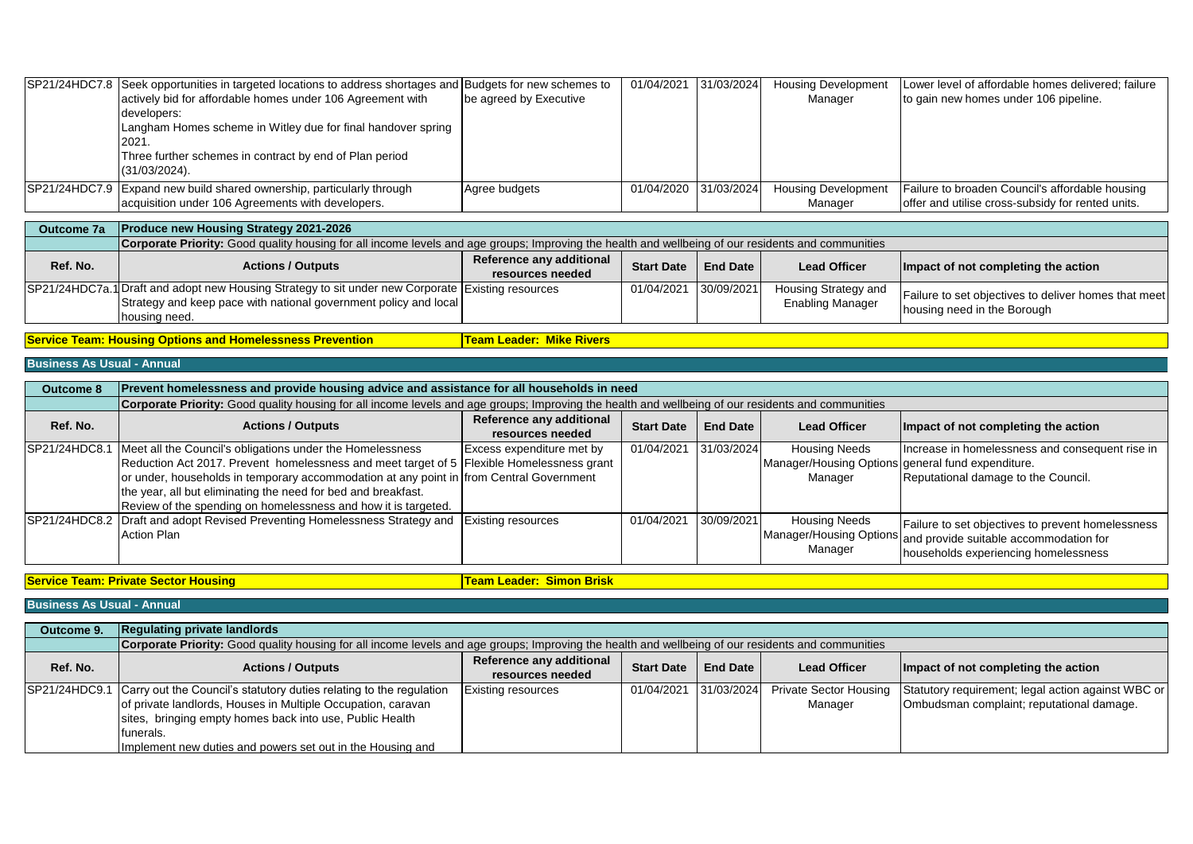| SP21/24HDC7.8 Seek opportunities in targeted locations to address shortages and Budgets for new schemes to |                        | 01/04/2021 31/03/2024 | <b>Housing Development</b> | Lower level of affordable homes delivered; failure |
|------------------------------------------------------------------------------------------------------------|------------------------|-----------------------|----------------------------|----------------------------------------------------|
| actively bid for affordable homes under 106 Agreement with                                                 | be agreed by Executive |                       | Manager                    | to gain new homes under 106 pipeline.              |
| developers:                                                                                                |                        |                       |                            |                                                    |
| Langham Homes scheme in Witley due for final handover spring                                               |                        |                       |                            |                                                    |
| 2021.                                                                                                      |                        |                       |                            |                                                    |
| Three further schemes in contract by end of Plan period                                                    |                        |                       |                            |                                                    |
| $(31/03/2024)$ .                                                                                           |                        |                       |                            |                                                    |
| SP21/24HDC7.9 Expand new build shared ownership, particularly through                                      | Agree budgets          | 01/04/2020 31/03/2024 | <b>Housing Development</b> | Failure to broaden Council's affordable housing    |
| acquisition under 106 Agreements with developers.                                                          |                        |                       | Manager                    | offer and utilise cross-subsidy for rented units.  |

| Outcome 7a | <b>Produce new Housing Strategy 2021-2026</b>                                                                                                             |                          |                       |                 |                         |                                                      |  |  |
|------------|-----------------------------------------------------------------------------------------------------------------------------------------------------------|--------------------------|-----------------------|-----------------|-------------------------|------------------------------------------------------|--|--|
|            | <b>Corporate Priority:</b> Good quality housing for all income levels and age groups; Improving the health and wellbeing of our residents and communities |                          |                       |                 |                         |                                                      |  |  |
| Ref. No.   | <b>Actions / Outputs</b>                                                                                                                                  | Reference any additional | <b>Start Date</b>     | <b>End Date</b> | <b>Lead Officer</b>     | Impact of not completing the action                  |  |  |
|            |                                                                                                                                                           | resources needed         |                       |                 |                         |                                                      |  |  |
|            | SP21/24HDC7a.1 Draft and adopt new Housing Strategy to sit under new Corporate Existing resources                                                         |                          | 01/04/2021 30/09/2021 |                 | Housing Strategy and    | Failure to set objectives to deliver homes that meet |  |  |
|            | Strategy and keep pace with national government policy and local                                                                                          |                          |                       |                 | <b>Enabling Manager</b> | housing need in the Borough                          |  |  |
|            | housing need.                                                                                                                                             |                          |                       |                 |                         |                                                      |  |  |

**Service Team: Housing Options and Homelessness Prevention <b>Team Leader: Mike Rivers** 

## **Business As Usual - Annual**

| <b>Outcome 8</b> | Prevent homelessness and provide housing advice and assistance for all households in need                                                          |                           |                   |                 |                                                   |                                                                |  |  |  |  |
|------------------|----------------------------------------------------------------------------------------------------------------------------------------------------|---------------------------|-------------------|-----------------|---------------------------------------------------|----------------------------------------------------------------|--|--|--|--|
|                  | Corporate Priority: Good quality housing for all income levels and age groups; Improving the health and wellbeing of our residents and communities |                           |                   |                 |                                                   |                                                                |  |  |  |  |
| Ref. No.         | <b>Actions / Outputs</b>                                                                                                                           | Reference any additional  | <b>Start Date</b> | <b>End Date</b> | <b>Lead Officer</b>                               | Impact of not completing the action                            |  |  |  |  |
|                  |                                                                                                                                                    | resources needed          |                   |                 |                                                   |                                                                |  |  |  |  |
| SP21/24HDC8.1    | Meet all the Council's obligations under the Homelessness                                                                                          | Excess expenditure met by | 01/04/2021        | 31/03/2024      | <b>Housing Needs</b>                              | Increase in homelessness and consequent rise in                |  |  |  |  |
|                  | Reduction Act 2017. Prevent homelessness and meet target of 5 Flexible Homelessness grant                                                          |                           |                   |                 | Manager/Housing Options general fund expenditure. |                                                                |  |  |  |  |
|                  | or under, households in temporary accommodation at any point in from Central Government                                                            |                           |                   |                 | Manager                                           | Reputational damage to the Council.                            |  |  |  |  |
|                  | the year, all but eliminating the need for bed and breakfast.                                                                                      |                           |                   |                 |                                                   |                                                                |  |  |  |  |
|                  | Review of the spending on homelessness and how it is targeted.                                                                                     |                           |                   |                 |                                                   |                                                                |  |  |  |  |
|                  | SP21/24HDC8.2 Draft and adopt Revised Preventing Homelessness Strategy and Existing resources                                                      |                           | 01/04/2021        | 30/09/2021      | <b>Housing Needs</b>                              | Failure to set objectives to prevent homelessness              |  |  |  |  |
|                  | Action Plan                                                                                                                                        |                           |                   |                 |                                                   | Manager/Housing Options and provide suitable accommodation for |  |  |  |  |
|                  |                                                                                                                                                    |                           |                   |                 | Manager                                           | households experiencing homelessness                           |  |  |  |  |

**Service Team: Private Sector Housing Team Leader: Simon Brisk**

**Business As Usual - Annual**

| Outcome 9. | <b>Regulating private landlords</b>                                                                                                                                                                                                                                                       |                                              |                       |                 |                     |                                                                                                                        |  |  |  |
|------------|-------------------------------------------------------------------------------------------------------------------------------------------------------------------------------------------------------------------------------------------------------------------------------------------|----------------------------------------------|-----------------------|-----------------|---------------------|------------------------------------------------------------------------------------------------------------------------|--|--|--|
|            | <b>Corporate Priority:</b> Good quality housing for all income levels and age groups; Improving the health and wellbeing of our residents and communities                                                                                                                                 |                                              |                       |                 |                     |                                                                                                                        |  |  |  |
| Ref. No.   | <b>Actions / Outputs</b>                                                                                                                                                                                                                                                                  | Reference any additional<br>resources needed | <b>Start Date</b>     | <b>End Date</b> | <b>Lead Officer</b> | Impact of not completing the action                                                                                    |  |  |  |
|            | SP21/24HDC9.1 Carry out the Council's statutory duties relating to the regulation<br>of private landlords, Houses in Multiple Occupation, caravan<br>sites, bringing empty homes back into use, Public Health<br>Ifunerals.<br>Implement new duties and powers set out in the Housing and | <b>Existing resources</b>                    | 01/04/2021 31/03/2024 |                 | Manager             | Private Sector Housing Statutory requirement; legal action against WBC or<br>Ombudsman complaint; reputational damage. |  |  |  |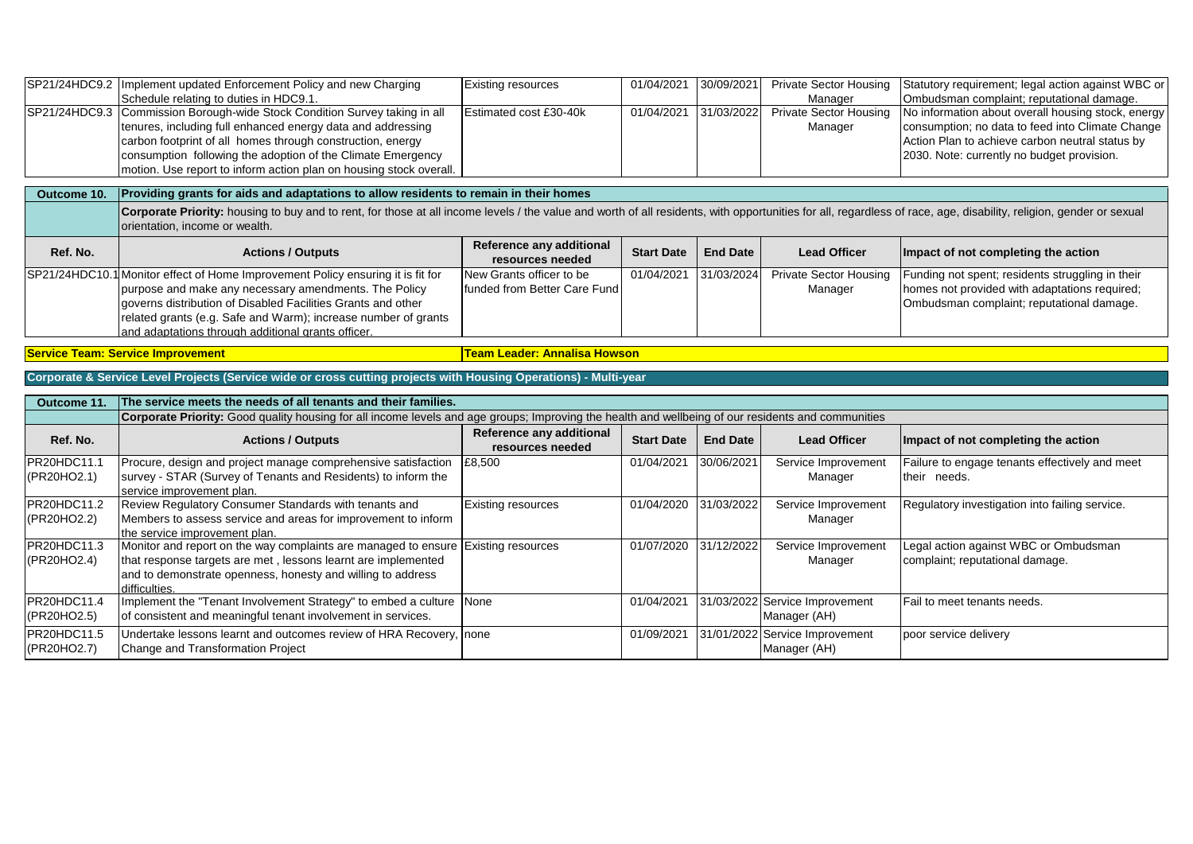|                            | SP21/24HDC9.2   Implement updated Enforcement Policy and new Charging                                                                                                                                                                                | <b>Existing resources</b>                    | 01/04/2021        | 30/09/2021      | <b>Private Sector Housing</b>                  | Statutory requirement; legal action against WBC or |  |  |  |  |  |  |
|----------------------------|------------------------------------------------------------------------------------------------------------------------------------------------------------------------------------------------------------------------------------------------------|----------------------------------------------|-------------------|-----------------|------------------------------------------------|----------------------------------------------------|--|--|--|--|--|--|
|                            | Schedule relating to duties in HDC9.1.                                                                                                                                                                                                               |                                              |                   |                 | Manager                                        | Ombudsman complaint; reputational damage.          |  |  |  |  |  |  |
|                            | SP21/24HDC9.3 Commission Borough-wide Stock Condition Survey taking in all                                                                                                                                                                           | Estimated cost £30-40k                       | 01/04/2021        | 31/03/2022      | <b>Private Sector Housing</b>                  | No information about overall housing stock, energy |  |  |  |  |  |  |
|                            | tenures, including full enhanced energy data and addressing                                                                                                                                                                                          |                                              |                   |                 | Manager                                        | consumption; no data to feed into Climate Change   |  |  |  |  |  |  |
|                            | carbon footprint of all homes through construction, energy                                                                                                                                                                                           |                                              |                   |                 |                                                | Action Plan to achieve carbon neutral status by    |  |  |  |  |  |  |
|                            | consumption following the adoption of the Climate Emergency                                                                                                                                                                                          |                                              |                   |                 |                                                | 2030. Note: currently no budget provision.         |  |  |  |  |  |  |
|                            | motion. Use report to inform action plan on housing stock overall.                                                                                                                                                                                   |                                              |                   |                 |                                                |                                                    |  |  |  |  |  |  |
|                            |                                                                                                                                                                                                                                                      |                                              |                   |                 |                                                |                                                    |  |  |  |  |  |  |
| Outcome 10.                | Providing grants for aids and adaptations to allow residents to remain in their homes                                                                                                                                                                |                                              |                   |                 |                                                |                                                    |  |  |  |  |  |  |
|                            | Corporate Priority: housing to buy and to rent, for those at all income levels / the value and worth of all residents, with opportunities for all, regardless of race, age, disability, religion, gender or sexual<br>orientation, income or wealth. |                                              |                   |                 |                                                |                                                    |  |  |  |  |  |  |
| Ref. No.                   | <b>Actions / Outputs</b>                                                                                                                                                                                                                             | Reference any additional<br>resources needed | <b>Start Date</b> | <b>End Date</b> | <b>Lead Officer</b>                            | Impact of not completing the action                |  |  |  |  |  |  |
|                            | SP21/24HDC10.1 Monitor effect of Home Improvement Policy ensuring it is fit for                                                                                                                                                                      | New Grants officer to be                     | 01/04/2021        | 31/03/2024      | <b>Private Sector Housing</b>                  | Funding not spent; residents struggling in their   |  |  |  |  |  |  |
|                            | purpose and make any necessary amendments. The Policy                                                                                                                                                                                                | funded from Better Care Fund                 |                   |                 | Manager                                        | homes not provided with adaptations required;      |  |  |  |  |  |  |
|                            | governs distribution of Disabled Facilities Grants and other                                                                                                                                                                                         |                                              |                   |                 |                                                | Ombudsman complaint; reputational damage.          |  |  |  |  |  |  |
|                            | related grants (e.g. Safe and Warm); increase number of grants                                                                                                                                                                                       |                                              |                   |                 |                                                |                                                    |  |  |  |  |  |  |
|                            | and adaptations through additional grants officer.                                                                                                                                                                                                   |                                              |                   |                 |                                                |                                                    |  |  |  |  |  |  |
|                            |                                                                                                                                                                                                                                                      |                                              |                   |                 |                                                |                                                    |  |  |  |  |  |  |
|                            | <b>Team Leader: Annalisa Howson</b><br><b>Service Team: Service Improvement</b>                                                                                                                                                                      |                                              |                   |                 |                                                |                                                    |  |  |  |  |  |  |
|                            | Corporate & Service Level Projects (Service wide or cross cutting projects with Housing Operations) - Multi-year                                                                                                                                     |                                              |                   |                 |                                                |                                                    |  |  |  |  |  |  |
|                            |                                                                                                                                                                                                                                                      |                                              |                   |                 |                                                |                                                    |  |  |  |  |  |  |
| Outcome 11.                | The service meets the needs of all tenants and their families.                                                                                                                                                                                       |                                              |                   |                 |                                                |                                                    |  |  |  |  |  |  |
|                            | Corporate Priority: Good quality housing for all income levels and age groups; Improving the health and wellbeing of our residents and communities                                                                                                   |                                              |                   |                 |                                                |                                                    |  |  |  |  |  |  |
| Ref. No.                   | <b>Actions / Outputs</b>                                                                                                                                                                                                                             | Reference any additional<br>resources needed | <b>Start Date</b> | <b>End Date</b> | <b>Lead Officer</b>                            | Impact of not completing the action                |  |  |  |  |  |  |
| PR20HDC11.1                | Procure, design and project manage comprehensive satisfaction                                                                                                                                                                                        | £8,500                                       | 01/04/2021        | 30/06/2021      | Service Improvement                            | Failure to engage tenants effectively and meet     |  |  |  |  |  |  |
| (PR20HO2.1)                | survey - STAR (Survey of Tenants and Residents) to inform the                                                                                                                                                                                        |                                              |                   |                 | Manager                                        | their needs.                                       |  |  |  |  |  |  |
|                            | service improvement plan.                                                                                                                                                                                                                            |                                              |                   |                 |                                                |                                                    |  |  |  |  |  |  |
| PR20HDC11.2                | Review Regulatory Consumer Standards with tenants and                                                                                                                                                                                                | <b>Existing resources</b>                    | 01/04/2020        | 31/03/2022      | Service Improvement                            | Regulatory investigation into failing service.     |  |  |  |  |  |  |
| (PR20HO2.2)                | Members to assess service and areas for improvement to inform                                                                                                                                                                                        |                                              |                   |                 | Manager                                        |                                                    |  |  |  |  |  |  |
|                            | the service improvement plan.                                                                                                                                                                                                                        |                                              |                   |                 |                                                |                                                    |  |  |  |  |  |  |
| PR20HDC11.3                |                                                                                                                                                                                                                                                      |                                              |                   |                 |                                                |                                                    |  |  |  |  |  |  |
| (PR20HO2.4)                |                                                                                                                                                                                                                                                      |                                              |                   |                 |                                                |                                                    |  |  |  |  |  |  |
|                            | Monitor and report on the way complaints are managed to ensure                                                                                                                                                                                       | <b>Existing resources</b>                    | 01/07/2020        | 31/12/2022      | Service Improvement                            | Legal action against WBC or Ombudsman              |  |  |  |  |  |  |
|                            | that response targets are met, lessons learnt are implemented                                                                                                                                                                                        |                                              |                   |                 | Manager                                        | complaint; reputational damage.                    |  |  |  |  |  |  |
|                            | and to demonstrate openness, honesty and willing to address                                                                                                                                                                                          |                                              |                   |                 |                                                |                                                    |  |  |  |  |  |  |
|                            | difficulties.                                                                                                                                                                                                                                        |                                              |                   |                 |                                                | Fail to meet tenants needs.                        |  |  |  |  |  |  |
| PR20HDC11.4                | Implement the "Tenant Involvement Strategy" to embed a culture None                                                                                                                                                                                  |                                              | 01/04/2021        |                 | 31/03/2022 Service Improvement                 |                                                    |  |  |  |  |  |  |
| (PR20HO2.5)<br>PR20HDC11.5 | of consistent and meaningful tenant involvement in services.<br>Undertake lessons learnt and outcomes review of HRA Recovery, none                                                                                                                   |                                              | 01/09/2021        |                 | Manager (AH)<br>31/01/2022 Service Improvement | poor service delivery                              |  |  |  |  |  |  |